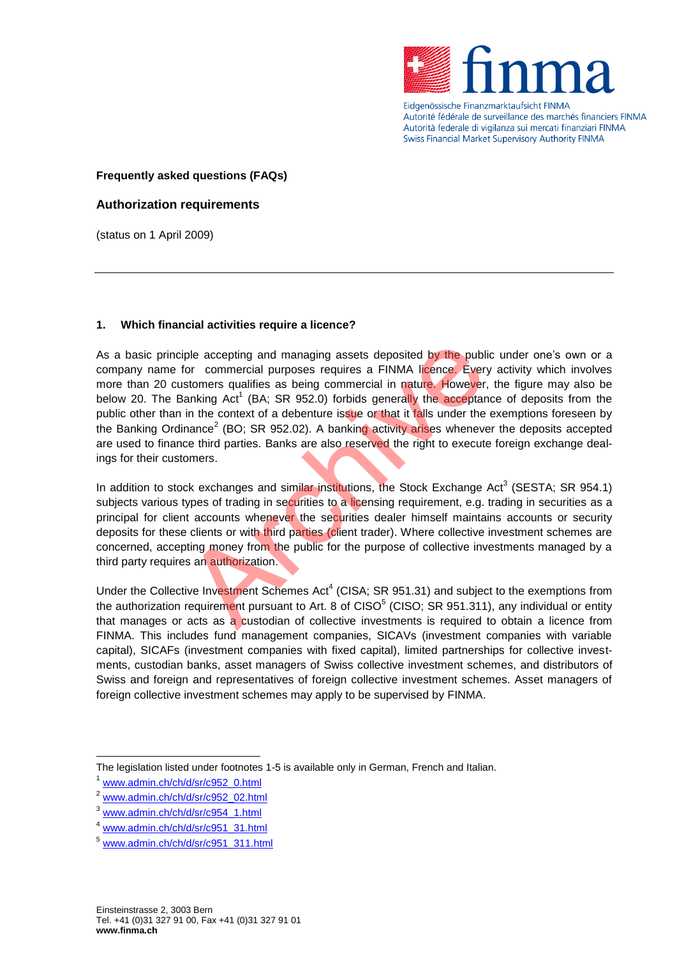

Eidgenössische Finanzmarktaufsicht FINMA Autorité fédérale de surveillance des marchés financiers FINMA Autorità federale di vigilanza sui mercati finanziari FINMA Swiss Financial Market Supervisory Authority FINMA

## **Frequently asked questions (FAQs)**

### **Authorization requirements**

(status on 1 April 2009)

#### **1. Which financial activities require a licence?**

As a basic principle accepting and managing assets deposited by the public under one's own or a company name for commercial purposes requires a FINMA licence. Every activity which involves more than 20 customers qualifies as being commercial in nature. However, the figure may also be below 20. The Banking Act<sup>1</sup> (BA; SR 952.0) forbids generally the acceptance of deposits from the public other than in the context of a debenture issue or that it falls under the exemptions foreseen by the Banking Ordinance<sup>2</sup> (BO; SR 952.02). A banking activity arises whenever the deposits accepted are used to finance third parties. Banks are also reserved the right to execute foreign exchange dealings for their customers. iple accepting and managing assets deposited by the publicant commercial purposes requires a FINMA licence. Every<br>stomers qualifies as being commercial in nature. However,<br>tanking Act<sup>1</sup> (BA; SR 952.0) forbids generally th

In addition to stock exchanges and similar institutions, the Stock Exchange Act<sup>3</sup> (SESTA; SR 954.1) subjects various types of trading in securities to a licensing requirement, e.g. trading in securities as a principal for client accounts whenever the securities dealer himself maintains accounts or security deposits for these clients or with third parties (client trader). Where collective investment schemes are concerned, accepting money from the public for the purpose of collective investments managed by a third party requires an authorization.

Under the Collective Investment Schemes Act<sup>4</sup> (CISA; SR 951.31) and subject to the exemptions from the authorization requirement pursuant to Art. 8 of CISO<sup>5</sup> (CISO; SR 951.311), any individual or entity that manages or acts as a custodian of collective investments is required to obtain a licence from FINMA. This includes fund management companies, SICAVs (investment companies with variable capital), SICAFs (investment companies with fixed capital), limited partnerships for collective investments, custodian banks, asset managers of Swiss collective investment schemes, and distributors of Swiss and foreign and representatives of foreign collective investment schemes. Asset managers of foreign collective investment schemes may apply to be supervised by FINMA.

The legislation listed under footnotes 1-5 is available only in German, French and Italian.

[www.admin.ch/ch/d/sr/c952\\_0.html](http://www.admin.ch/ch/d/sr/c952_0.html)

<sup>2</sup> [www.admin.ch/ch/d/sr/c952\\_02.html](http://www.admin.ch/ch/d/sr/c952_02.html)

<sup>3</sup> [www.admin.ch/ch/d/sr/c954\\_1.html](http://www.admin.ch/ch/d/sr/c954_1.html)

<sup>4</sup> [www.admin.ch/ch/d/sr/c951\\_31.html](http://www.admin.ch/ch/d/sr/c951_31.html)

<sup>5</sup> [www.admin.ch/ch/d/sr/c951\\_311.html](http://www.admin.ch/ch/d/sr/c951_311.html)